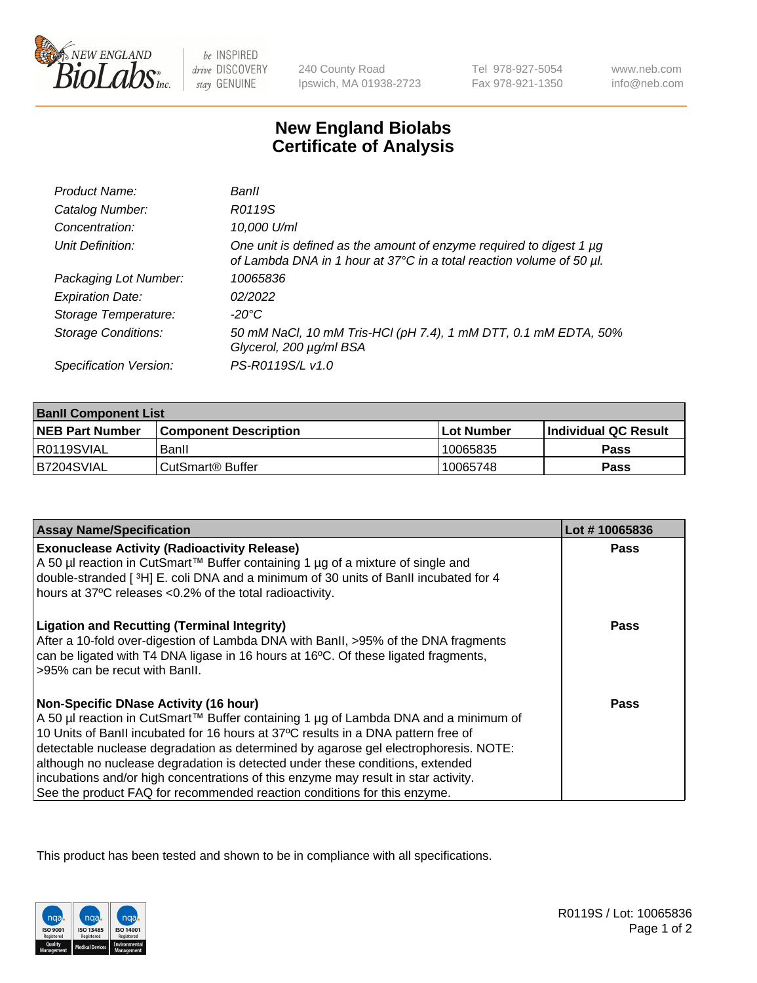

 $be$  INSPIRED drive DISCOVERY stay GENUINE

240 County Road Ipswich, MA 01938-2723 Tel 978-927-5054 Fax 978-921-1350

www.neb.com info@neb.com

## **New England Biolabs Certificate of Analysis**

| Product Name:              | Banll                                                                                                                                       |
|----------------------------|---------------------------------------------------------------------------------------------------------------------------------------------|
| Catalog Number:            | R0119S                                                                                                                                      |
| Concentration:             | 10,000 U/ml                                                                                                                                 |
| Unit Definition:           | One unit is defined as the amount of enzyme required to digest 1 µg<br>of Lambda DNA in 1 hour at 37°C in a total reaction volume of 50 µl. |
| Packaging Lot Number:      | 10065836                                                                                                                                    |
| <b>Expiration Date:</b>    | 02/2022                                                                                                                                     |
| Storage Temperature:       | -20°C                                                                                                                                       |
| <b>Storage Conditions:</b> | 50 mM NaCl, 10 mM Tris-HCl (pH 7.4), 1 mM DTT, 0.1 mM EDTA, 50%<br>Glycerol, 200 µg/ml BSA                                                  |
| Specification Version:     | PS-R0119S/L v1.0                                                                                                                            |

| <b>Banll Component List</b> |                         |              |                             |  |
|-----------------------------|-------------------------|--------------|-----------------------------|--|
| <b>NEB Part Number</b>      | l Component Description | l Lot Number | <b>Individual QC Result</b> |  |
| R0119SVIAL                  | Banll                   | 10065835     | Pass                        |  |
| B7204SVIAL                  | l CutSmart® Buffer_     | 10065748     | Pass                        |  |

| <b>Assay Name/Specification</b>                                                                                                                                                                                                                                                                                                                                                                                                                                                                                                                                    | Lot #10065836 |
|--------------------------------------------------------------------------------------------------------------------------------------------------------------------------------------------------------------------------------------------------------------------------------------------------------------------------------------------------------------------------------------------------------------------------------------------------------------------------------------------------------------------------------------------------------------------|---------------|
| <b>Exonuclease Activity (Radioactivity Release)</b><br>A 50 µl reaction in CutSmart™ Buffer containing 1 µg of a mixture of single and<br>double-stranded [3H] E. coli DNA and a minimum of 30 units of BanII incubated for 4<br>hours at 37°C releases <0.2% of the total radioactivity.                                                                                                                                                                                                                                                                          | Pass          |
| <b>Ligation and Recutting (Terminal Integrity)</b><br>After a 10-fold over-digestion of Lambda DNA with BanII, >95% of the DNA fragments<br>can be ligated with T4 DNA ligase in 16 hours at 16°C. Of these ligated fragments,<br>>95% can be recut with Banll.                                                                                                                                                                                                                                                                                                    | Pass          |
| <b>Non-Specific DNase Activity (16 hour)</b><br>A 50 µl reaction in CutSmart™ Buffer containing 1 µg of Lambda DNA and a minimum of<br>10 Units of BanII incubated for 16 hours at 37°C results in a DNA pattern free of<br>detectable nuclease degradation as determined by agarose gel electrophoresis. NOTE:<br>although no nuclease degradation is detected under these conditions, extended<br>incubations and/or high concentrations of this enzyme may result in star activity.<br>See the product FAQ for recommended reaction conditions for this enzyme. | <b>Pass</b>   |

This product has been tested and shown to be in compliance with all specifications.